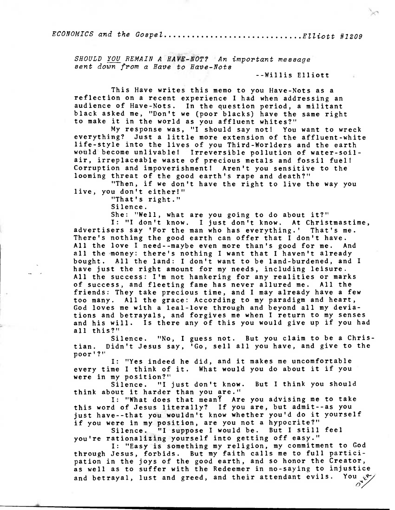$ECONOMICS$  and the Gospel................................. $Elliott$  #1209

SHOULD YOU REMAIN A HAVE-NOT? An important message sent down from a Have to Have-Note

**--Willis Elliott** 

**This Have writes this memo to you Have-Nots as a reflection on a recent experience I had when addressing an audience of Have-Nots. In the question period, a militant black asked me, "Don't we (poor blacks) have the same right to make it in the world as you affluent whites?"** 

**My response was, "I should say not! You want to wreck everything? Just a little more extension of the affluent-white life-style into the lives of you Third-Worlders and the earth would become unlivable! Irreversible pollution of water-soilair, irreplaceable waste of precious metals and fossil fuel! Corruption and impoverishment! Aren't you sensitive to the looming threat of the good earth's rape and death?"** 

**"Then, if we don't have the right to live the way you live, you don't either!"** 

**"That's right."** 

**Silence.** 

**She: "Well, what are you going to do about it?" I: "I don't know. I just don't know. At Christmastime, advertisers say 'For the man who has everything.' That's me. There's nothing the good earth can offer that I don't have. All the love I need--maybe even more than's good for me. And all the money: there's nothing I want that I haven't already bought. All the land: I don't want to be land-burdened, and I have just the right amount for my needs, including leisure. All the success: I'm not hankering for any realities or marks** 

**of success, and fleeting fame has never allured me. All the friends: They take precious time, and I may already have a few too many. All the grace: According to my paradigm and heart, God loves me with a leal-love through and beyond all my deviations and betrayals, and forgives me when I return to my senses and his will. Is there any of this you would give up if you had all this?"** 

**Silence. "No, I guess not. But you claim to be a Christian. Didn't Jesus say, 'Go, sell all you have, and give to the poor'?"** 

**I: "Yes indeed he did, and it makes me uncomfortable every time I think of it. What would you do about it if you were in my position?"** 

**Silence. "I just don't know. But I think you should think about it harder than you are."** 

**I: "What does that** mean? **Are you advising me to take this word of Jesus literally? If you are, but admit--as you just have--that you wouldn't know whether you'd do it yourself if you were in my position, are you not a hypocrite?"** 

**Silence. "I suppose I would be. But I still feel you're rationalizing yourself into getting off easy."** 

**I: "Easy is something my religion, my commitment to God through Jesus, forbids. But my faith calls me to full participation in the joys of the good earth, and so honor the Creator, as well as to suffer with the Redeemer in no-saying to injustice and betrayal, lust and greed, and their attendant evils. You**   $\delta$ <sup>7</sup>